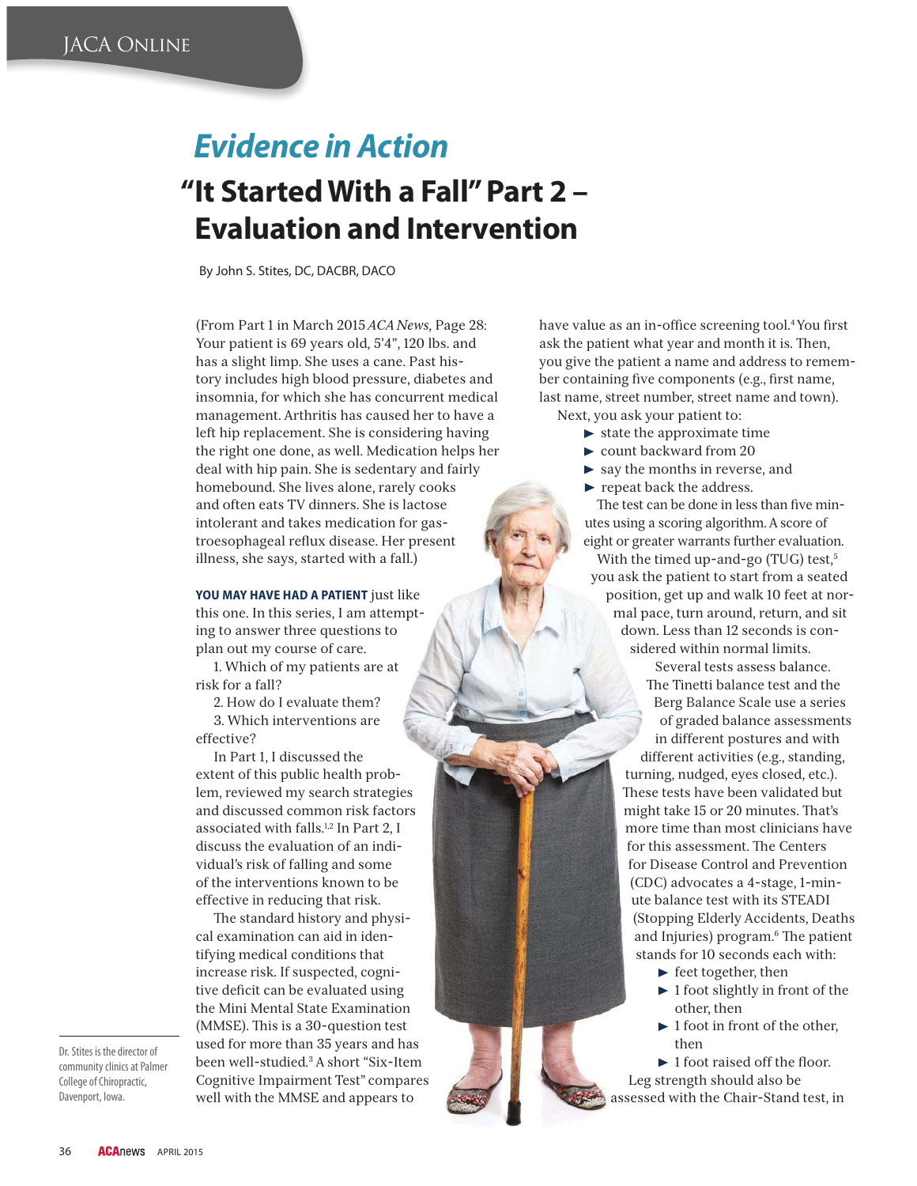## *Evidence in Action* **" It Started With a Fall" Part 2 – Evaluation and Intervention**

By John S. Stites, DC, DACBR, DACO

(From Part 1 in March 2015 *ACA News*, Page 28*:* Your patient is 69 years old, 5'4", 120 lbs. and has a slight limp. She uses a cane. Past history includes high blood pressure, diabetes and insomnia, for which she has concurrent medical management. Arthritis has caused her to have a left hip replacement. She is considering having the right one done, as well. Medication helps her deal with hip pain. She is sedentary and fairly homebound. She lives alone, rarely cooks and often eats TV dinners. She is lactose intolerant and takes medication for gastroesophageal reflux disease. Her present illness, she says, started with a fall.)

**YOU MAY HAVE HAD A PATIENT** just like this one. In this series, I am attempting to answer three questions to plan out my course of care.

1. Which of my patients are at risk for a fall?

2. How do I evaluate them? 3. Which interventions are

effective?

In Part 1, I discussed the extent of this public health problem, reviewed my search strategies and discussed common risk factors associated with falls.1,2 In Part 2, I discuss the evaluation of an individual's risk of falling and some of the interventions known to be effective in reducing that risk.

- e standard history and physical examination can aid in identifying medical conditions that increase risk. If suspected, cognitive deficit can be evaluated using the Mini Mental State Examination (MMSE). This is a 30-question test used for more than 35 years and has been well-studied.3 A short "Six-Item Cognitive Impairment Test" compares well with the MMSE and appears to

have value as an in-office screening tool.<sup>4</sup> You first ask the patient what year and month it is. Then, you give the patient a name and address to remember containing five components (e.g., first name, last name, street number, street name and town). Next, you ask your patient to:

- $\blacktriangleright$  state the approximate time
- ► count backward from 20
- $\blacktriangleright$  say the months in reverse, and
- $\blacktriangleright$  repeat back the address.

The test can be done in less than five minutes using a scoring algorithm. A score of eight or greater warrants further evaluation.

With the timed up-and-go (TUG) test,<sup>5</sup> you ask the patient to start from a seated position, get up and walk 10 feet at normal pace, turn around, return, and sit down. Less than 12 seconds is considered within normal limits.

> Several tests assess balance. The Tinetti balance test and the Berg Balance Scale use a series of graded balance assessments in different postures and with different activities (e.g., standing, turning, nudged, eyes closed, etc.). These tests have been validated but might take 15 or 20 minutes. That's more time than most clinicians have for this assessment. The Centers for Disease Control and Prevention (CDC) advocates a 4-stage, 1-minute balance test with its STEADI (Stopping Elderly Accidents, Deaths and Injuries) program.<sup>6</sup> The patient stands for 10 seconds each with:

- $\blacktriangleright$  feet together, then
- $\blacktriangleright$  1 foot slightly in front of the other, then
- $\blacktriangleright$  1 foot in front of the other, then

 $\blacktriangleright$  1 foot raised off the floor. Leg strength should also be assessed with the Chair-Stand test, in

Dr. Stites is the director of community clinics at Palmer College of Chiropractic, Davenport, Iowa.